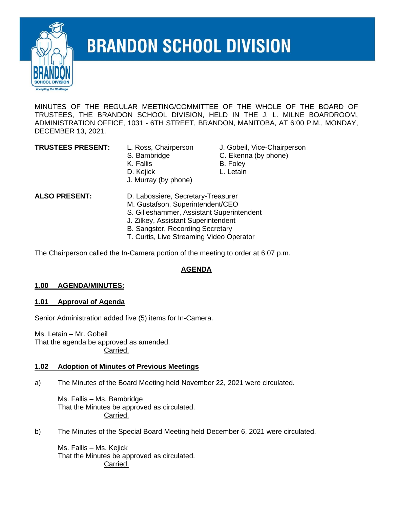

# **BRANDON SCHOOL DIVISION**

MINUTES OF THE REGULAR MEETING/COMMITTEE OF THE WHOLE OF THE BOARD OF TRUSTEES, THE BRANDON SCHOOL DIVISION, HELD IN THE J. L. MILNE BOARDROOM, ADMINISTRATION OFFICE, 1031 - 6TH STREET, BRANDON, MANITOBA, AT 6:00 P.M., MONDAY, DECEMBER 13, 2021.

- 
- 
- 
- J. Murray (by phone)
- **TRUSTEES PRESENT:** L. Ross, Chairperson J. Gobeil, Vice-Chairperson
	- S. Bambridge C. Ekenna (by phone)
	- K. Fallis B. Foley
	- D. Kejick **L. Letain**

- **ALSO PRESENT:** D. Labossiere, Secretary-Treasurer
	- M. Gustafson, Superintendent/CEO
	- S. Gilleshammer, Assistant Superintendent
	- J. Zilkey, Assistant Superintendent
	- B. Sangster, Recording Secretary
	- T. Curtis, Live Streaming Video Operator

The Chairperson called the In-Camera portion of the meeting to order at 6:07 p.m.

# **AGENDA**

#### **1.00 AGENDA/MINUTES:**

#### **1.01 Approval of Agenda**

Senior Administration added five (5) items for In-Camera.

Ms. Letain – Mr. Gobeil That the agenda be approved as amended. Carried.

#### **1.02 Adoption of Minutes of Previous Meetings**

a) The Minutes of the Board Meeting held November 22, 2021 were circulated.

Ms. Fallis – Ms. Bambridge That the Minutes be approved as circulated. Carried.

b) The Minutes of the Special Board Meeting held December 6, 2021 were circulated.

Ms. Fallis – Ms. Kejick That the Minutes be approved as circulated. Carried.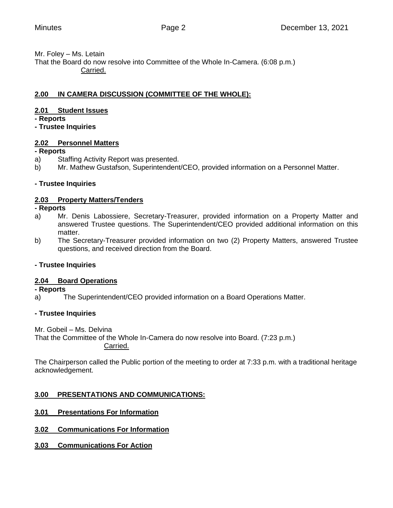#### Mr. Foley – Ms. Letain

That the Board do now resolve into Committee of the Whole In-Camera. (6:08 p.m.) Carried.

# **2.00 IN CAMERA DISCUSSION (COMMITTEE OF THE WHOLE):**

# **2.01 Student Issues**

**- Reports**

**- Trustee Inquiries**

# **2.02 Personnel Matters**

# **- Reports**

- a) Staffing Activity Report was presented.
- b) Mr. Mathew Gustafson, Superintendent/CEO, provided information on a Personnel Matter.

# **- Trustee Inquiries**

# **2.03 Property Matters/Tenders**

#### **- Reports**

- a) Mr. Denis Labossiere, Secretary-Treasurer, provided information on a Property Matter and answered Trustee questions. The Superintendent/CEO provided additional information on this matter.
- b) The Secretary-Treasurer provided information on two (2) Property Matters, answered Trustee questions, and received direction from the Board.

# **- Trustee Inquiries**

# **2.04 Board Operations**

**- Reports**

a) The Superintendent/CEO provided information on a Board Operations Matter.

# **- Trustee Inquiries**

Mr. Gobeil – Ms. Delvina That the Committee of the Whole In-Camera do now resolve into Board. (7:23 p.m.) Carried.

The Chairperson called the Public portion of the meeting to order at 7:33 p.m. with a traditional heritage acknowledgement.

# **3.00 PRESENTATIONS AND COMMUNICATIONS:**

# **3.01 Presentations For Information**

- **3.02 Communications For Information**
- **3.03 Communications For Action**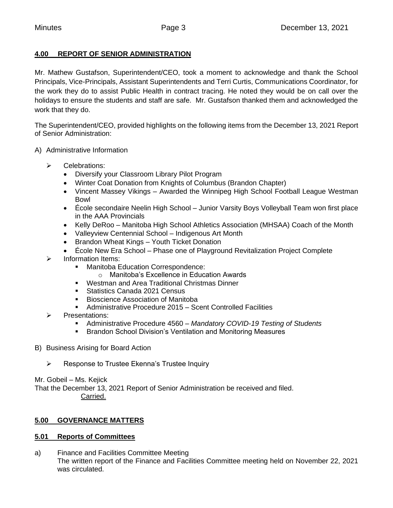# **4.00 REPORT OF SENIOR ADMINISTRATION**

Mr. Mathew Gustafson, Superintendent/CEO, took a moment to acknowledge and thank the School Principals, Vice-Principals, Assistant Superintendents and Terri Curtis, Communications Coordinator, for the work they do to assist Public Health in contract tracing. He noted they would be on call over the holidays to ensure the students and staff are safe. Mr. Gustafson thanked them and acknowledged the work that they do.

The Superintendent/CEO, provided highlights on the following items from the December 13, 2021 Report of Senior Administration:

- A) Administrative Information
	- ➢ Celebrations:
		- Diversify your Classroom Library Pilot Program
		- Winter Coat Donation from Knights of Columbus (Brandon Chapter)
		- Vincent Massey Vikings Awarded the Winnipeg High School Football League Westman Bowl
		- École secondaire Neelin High School Junior Varsity Boys Volleyball Team won first place in the AAA Provincials
		- Kelly DeRoo Manitoba High School Athletics Association (MHSAA) Coach of the Month
		- Valleyview Centennial School Indigenous Art Month
		- Brandon Wheat Kings Youth Ticket Donation
		- École New Era School Phase one of Playground Revitalization Project Complete
	- ➢ Information Items:
		- Manitoba Education Correspondence:
			- o Manitoba's Excellence in Education Awards
		- Westman and Area Traditional Christmas Dinner
		- Statistics Canada 2021 Census
		- Bioscience Association of Manitoba
		- Administrative Procedure 2015 Scent Controlled Facilities
	- ➢ Presentations:
		- Administrative Procedure 4560 Mandatory COVID-19 Testing of Students
		- Brandon School Division's Ventilation and Monitoring Measures
- B) Business Arising for Board Action
	- ➢ Response to Trustee Ekenna's Trustee Inquiry

Mr. Gobeil – Ms. Kejick

That the December 13, 2021 Report of Senior Administration be received and filed. Carried.

# **5.00 GOVERNANCE MATTERS**

#### **5.01 Reports of Committees**

a) Finance and Facilities Committee Meeting The written report of the Finance and Facilities Committee meeting held on November 22, 2021 was circulated.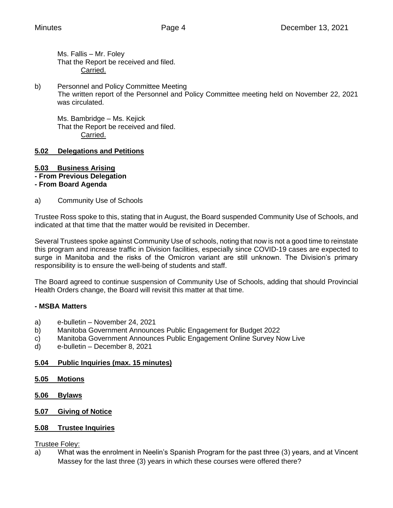Ms. Fallis – Mr. Foley That the Report be received and filed. Carried.

b) Personnel and Policy Committee Meeting The written report of the Personnel and Policy Committee meeting held on November 22, 2021 was circulated.

Ms. Bambridge – Ms. Kejick That the Report be received and filed. Carried.

# **5.02 Delegations and Petitions**

# **5.03 Business Arising**

**- From Previous Delegation**

# **- From Board Agenda**

a) Community Use of Schools

Trustee Ross spoke to this, stating that in August, the Board suspended Community Use of Schools, and indicated at that time that the matter would be revisited in December.

Several Trustees spoke against Community Use of schools, noting that now is not a good time to reinstate this program and increase traffic in Division facilities, especially since COVID-19 cases are expected to surge in Manitoba and the risks of the Omicron variant are still unknown. The Division's primary responsibility is to ensure the well-being of students and staff.

The Board agreed to continue suspension of Community Use of Schools, adding that should Provincial Health Orders change, the Board will revisit this matter at that time.

# **- MSBA Matters**

- a) e-bulletin November 24, 2021
- b) Manitoba Government Announces Public Engagement for Budget 2022
- c) Manitoba Government Announces Public Engagement Online Survey Now Live
- d) e-bulletin December 8, 2021

# **5.04 Public Inquiries (max. 15 minutes)**

- **5.05 Motions**
- **5.06 Bylaws**
- **5.07 Giving of Notice**

# **5.08 Trustee Inquiries**

Trustee Foley:

a) What was the enrolment in Neelin's Spanish Program for the past three (3) years, and at Vincent Massey for the last three (3) years in which these courses were offered there?